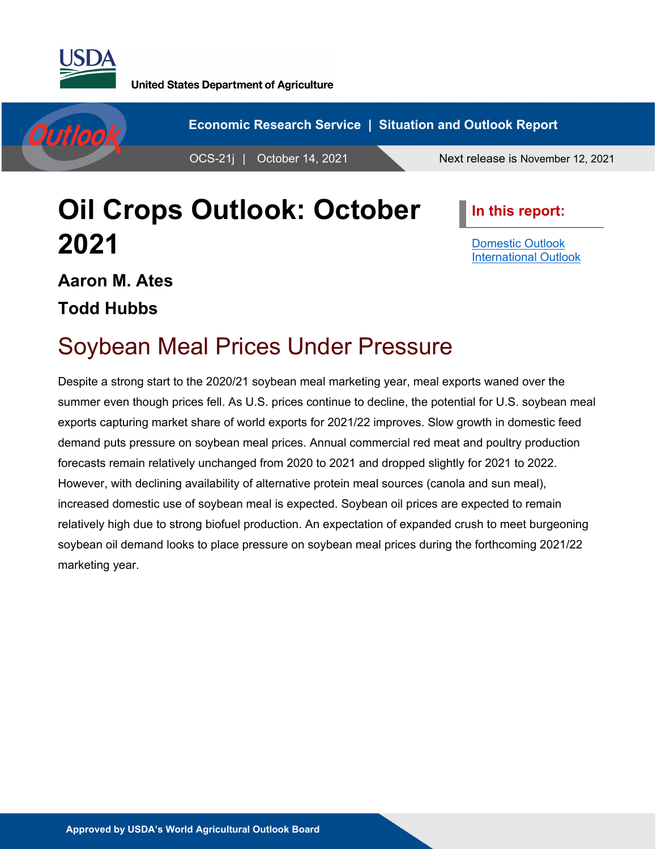



# **Oil Crops Outlook: October 2021**

**In this report:**

[Domestic Outlook](#page-2-0) [International Outlook](#page-6-0)

## **Aaron M. Ates**

**Todd Hubbs**

### Soybean Meal Prices Under Pressure

Despite a strong start to the 2020/21 soybean meal marketing year, meal exports waned over the summer even though prices fell. As U.S. prices continue to decline, the potential for U.S. soybean meal exports capturing market share of world exports for 2021/22 improves. Slow growth in domestic feed demand puts pressure on soybean meal prices. Annual commercial red meat and poultry production forecasts remain relatively unchanged from 2020 to 2021 and dropped slightly for 2021 to 2022. However, with declining availability of alternative protein meal sources (canola and sun meal), increased domestic use of soybean meal is expected. Soybean oil prices are expected to remain relatively high due to strong biofuel production. An expectation of expanded crush to meet burgeoning soybean oil demand looks to place pressure on soybean meal prices during the forthcoming 2021/22 marketing year.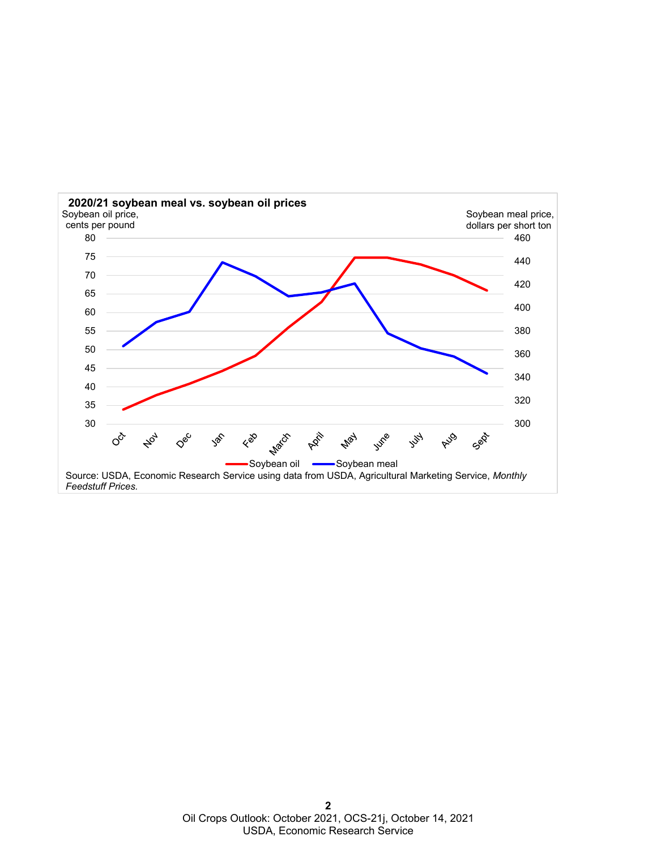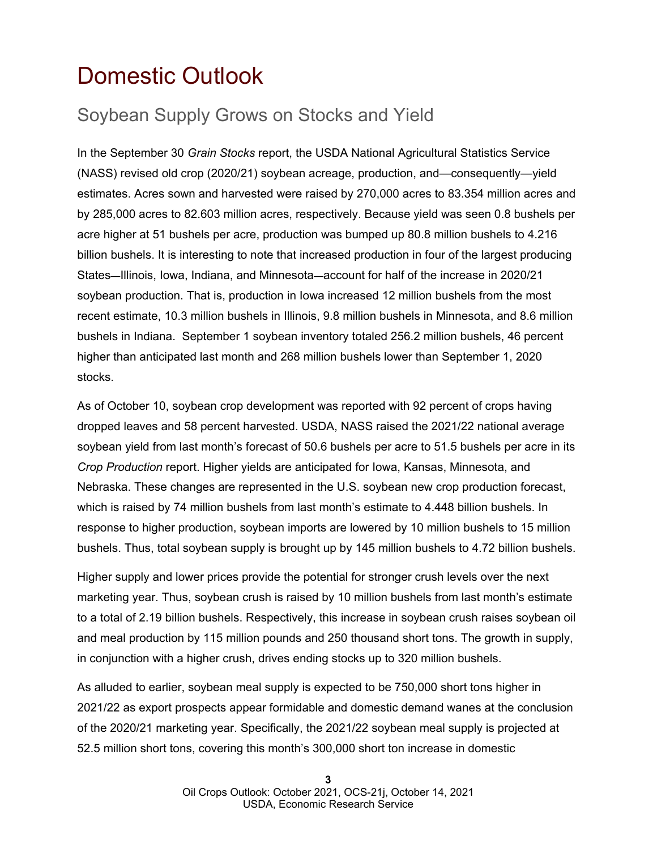### <span id="page-2-0"></span>Domestic Outlook

### Soybean Supply Grows on Stocks and Yield

In the September 30 *Grain Stocks* report, the USDA National Agricultural Statistics Service (NASS) revised old crop (2020/21) soybean acreage, production, and—consequently—yield estimates. Acres sown and harvested were raised by 270,000 acres to 83.354 million acres and by 285,000 acres to 82.603 million acres, respectively. Because yield was seen 0.8 bushels per acre higher at 51 bushels per acre, production was bumped up 80.8 million bushels to 4.216 billion bushels. It is interesting to note that increased production in four of the largest producing States—Illinois, Iowa, Indiana, and Minnesota—account for half of the increase in 2020/21 soybean production. That is, production in Iowa increased 12 million bushels from the most recent estimate, 10.3 million bushels in Illinois, 9.8 million bushels in Minnesota, and 8.6 million bushels in Indiana. September 1 soybean inventory totaled 256.2 million bushels, 46 percent higher than anticipated last month and 268 million bushels lower than September 1, 2020 stocks.

As of October 10, soybean crop development was reported with 92 percent of crops having dropped leaves and 58 percent harvested. USDA, NASS raised the 2021/22 national average soybean yield from last month's forecast of 50.6 bushels per acre to 51.5 bushels per acre in its *Crop Production* report. Higher yields are anticipated for Iowa, Kansas, Minnesota, and Nebraska. These changes are represented in the U.S. soybean new crop production forecast, which is raised by 74 million bushels from last month's estimate to 4.448 billion bushels. In response to higher production, soybean imports are lowered by 10 million bushels to 15 million bushels. Thus, total soybean supply is brought up by 145 million bushels to 4.72 billion bushels.

Higher supply and lower prices provide the potential for stronger crush levels over the next marketing year. Thus, soybean crush is raised by 10 million bushels from last month's estimate to a total of 2.19 billion bushels. Respectively, this increase in soybean crush raises soybean oil and meal production by 115 million pounds and 250 thousand short tons. The growth in supply, in conjunction with a higher crush, drives ending stocks up to 320 million bushels.

As alluded to earlier, soybean meal supply is expected to be 750,000 short tons higher in 2021/22 as export prospects appear formidable and domestic demand wanes at the conclusion of the 2020/21 marketing year. Specifically, the 2021/22 soybean meal supply is projected at 52.5 million short tons, covering this month's 300,000 short ton increase in domestic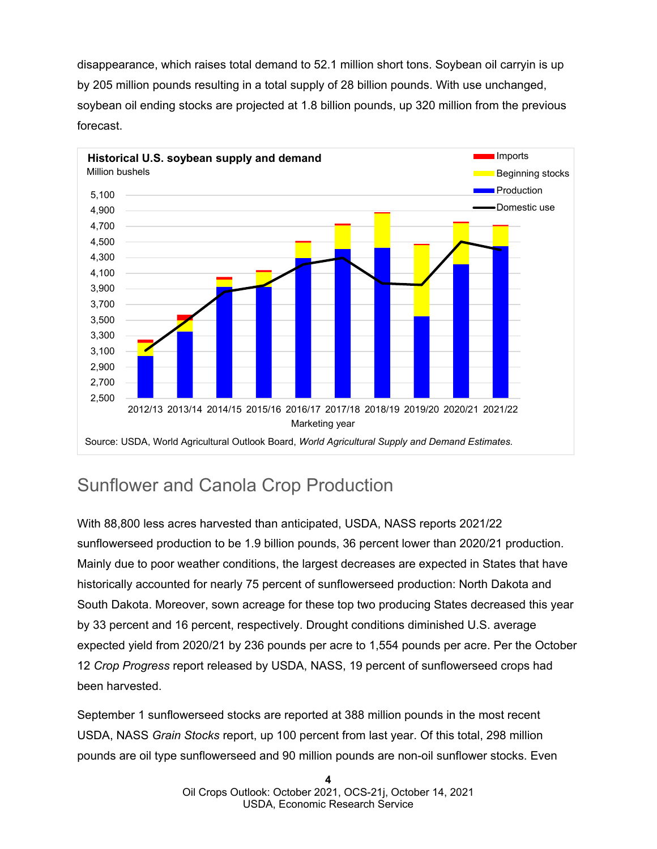disappearance, which raises total demand to 52.1 million short tons. Soybean oil carryin is up by 205 million pounds resulting in a total supply of 28 billion pounds. With use unchanged, soybean oil ending stocks are projected at 1.8 billion pounds, up 320 million from the previous forecast.



### Sunflower and Canola Crop Production

With 88,800 less acres harvested than anticipated, USDA, NASS reports 2021/22 sunflowerseed production to be 1.9 billion pounds, 36 percent lower than 2020/21 production. Mainly due to poor weather conditions, the largest decreases are expected in States that have historically accounted for nearly 75 percent of sunflowerseed production: North Dakota and South Dakota. Moreover, sown acreage for these top two producing States decreased this year by 33 percent and 16 percent, respectively. Drought conditions diminished U.S. average expected yield from 2020/21 by 236 pounds per acre to 1,554 pounds per acre. Per the October 12 *Crop Progress* report released by USDA, NASS, 19 percent of sunflowerseed crops had been harvested.

September 1 sunflowerseed stocks are reported at 388 million pounds in the most recent USDA, NASS *Grain Stocks* report, up 100 percent from last year. Of this total, 298 million pounds are oil type sunflowerseed and 90 million pounds are non-oil sunflower stocks. Even

> **4** Oil Crops Outlook: October 2021, OCS-21j, October 14, 2021 USDA, Economic Research Service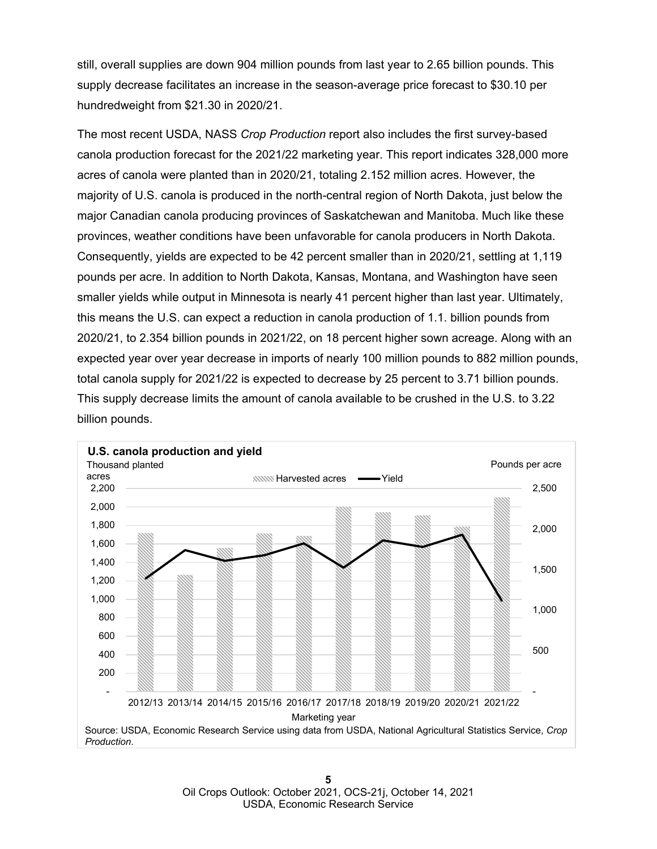still, overall supplies are down 904 million pounds from last year to 2.65 billion pounds. This supply decrease facilitates an increase in the season-average price forecast to \$30.10 per hundredweight from \$21.30 in 2020/21.

The most recent USDA, NASS *Crop Production* report also includes the first survey-based canola production forecast for the 2021/22 marketing year. This report indicates 328,000 more acres of canola were planted than in 2020/21, totaling 2.152 million acres. However, the majority of U.S. canola is produced in the north-central region of North Dakota, just below the major Canadian canola producing provinces of Saskatchewan and Manitoba. Much like these provinces, weather conditions have been unfavorable for canola producers in North Dakota. Consequently, yields are expected to be 42 percent smaller than in 2020/21, settling at 1,119 pounds per acre. In addition to North Dakota, Kansas, Montana, and Washington have seen smaller yields while output in Minnesota is nearly 41 percent higher than last year. Ultimately, this means the U.S. can expect a reduction in canola production of 1.1. billion pounds from 2020/21, to 2.354 billion pounds in 2021/22, on 18 percent higher sown acreage. Along with an expected year over year decrease in imports of nearly 100 million pounds to 882 million pounds, total canola supply for 2021/22 is expected to decrease by 25 percent to 3.71 billion pounds. This supply decrease limits the amount of canola available to be crushed in the U.S. to 3.22 billion pounds.

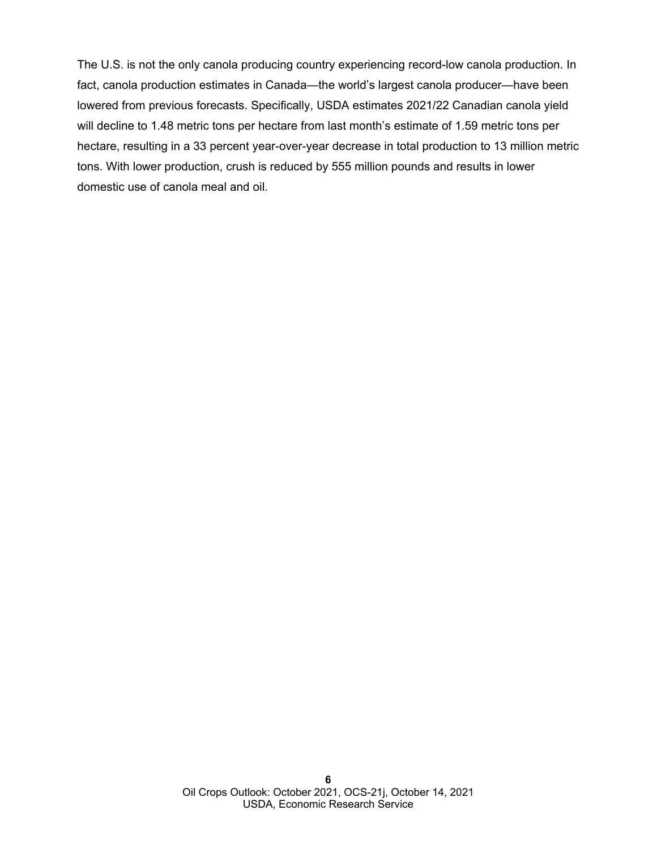The U.S. is not the only canola producing country experiencing record-low canola production. In fact, canola production estimates in Canada—the world's largest canola producer—have been lowered from previous forecasts. Specifically, USDA estimates 2021/22 Canadian canola yield will decline to 1.48 metric tons per hectare from last month's estimate of 1.59 metric tons per hectare, resulting in a 33 percent year-over-year decrease in total production to 13 million metric tons. With lower production, crush is reduced by 555 million pounds and results in lower domestic use of canola meal and oil.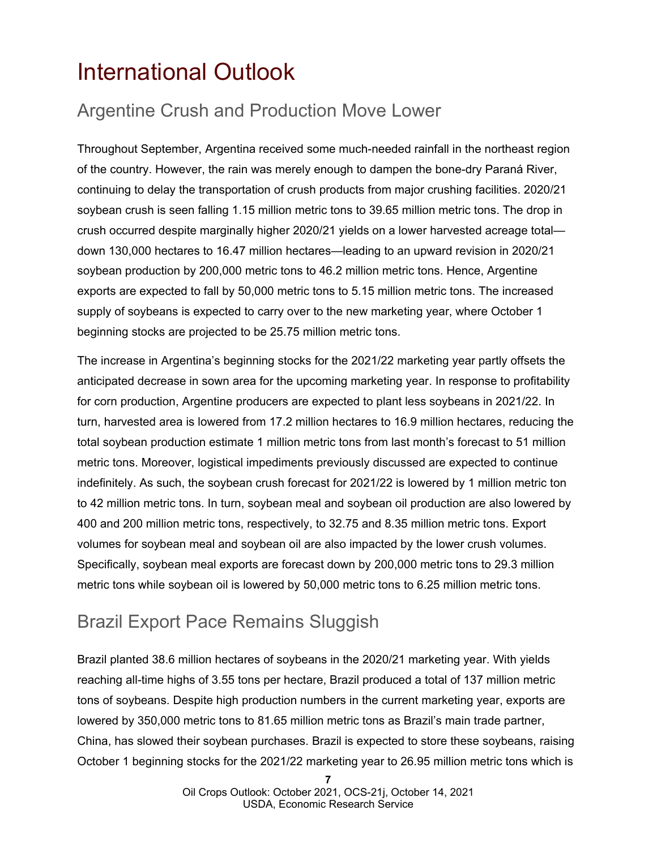### <span id="page-6-0"></span>International Outlook

### Argentine Crush and Production Move Lower

Throughout September, Argentina received some much-needed rainfall in the northeast region of the country. However, the rain was merely enough to dampen the bone-dry Paraná River, continuing to delay the transportation of crush products from major crushing facilities. 2020/21 soybean crush is seen falling 1.15 million metric tons to 39.65 million metric tons. The drop in crush occurred despite marginally higher 2020/21 yields on a lower harvested acreage total down 130,000 hectares to 16.47 million hectares—leading to an upward revision in 2020/21 soybean production by 200,000 metric tons to 46.2 million metric tons. Hence, Argentine exports are expected to fall by 50,000 metric tons to 5.15 million metric tons. The increased supply of soybeans is expected to carry over to the new marketing year, where October 1 beginning stocks are projected to be 25.75 million metric tons.

The increase in Argentina's beginning stocks for the 2021/22 marketing year partly offsets the anticipated decrease in sown area for the upcoming marketing year. In response to profitability for corn production, Argentine producers are expected to plant less soybeans in 2021/22. In turn, harvested area is lowered from 17.2 million hectares to 16.9 million hectares, reducing the total soybean production estimate 1 million metric tons from last month's forecast to 51 million metric tons. Moreover, logistical impediments previously discussed are expected to continue indefinitely. As such, the soybean crush forecast for 2021/22 is lowered by 1 million metric ton to 42 million metric tons. In turn, soybean meal and soybean oil production are also lowered by 400 and 200 million metric tons, respectively, to 32.75 and 8.35 million metric tons. Export volumes for soybean meal and soybean oil are also impacted by the lower crush volumes. Specifically, soybean meal exports are forecast down by 200,000 metric tons to 29.3 million metric tons while soybean oil is lowered by 50,000 metric tons to 6.25 million metric tons.

### Brazil Export Pace Remains Sluggish

Brazil planted 38.6 million hectares of soybeans in the 2020/21 marketing year. With yields reaching all-time highs of 3.55 tons per hectare, Brazil produced a total of 137 million metric tons of soybeans. Despite high production numbers in the current marketing year, exports are lowered by 350,000 metric tons to 81.65 million metric tons as Brazil's main trade partner, China, has slowed their soybean purchases. Brazil is expected to store these soybeans, raising October 1 beginning stocks for the 2021/22 marketing year to 26.95 million metric tons which is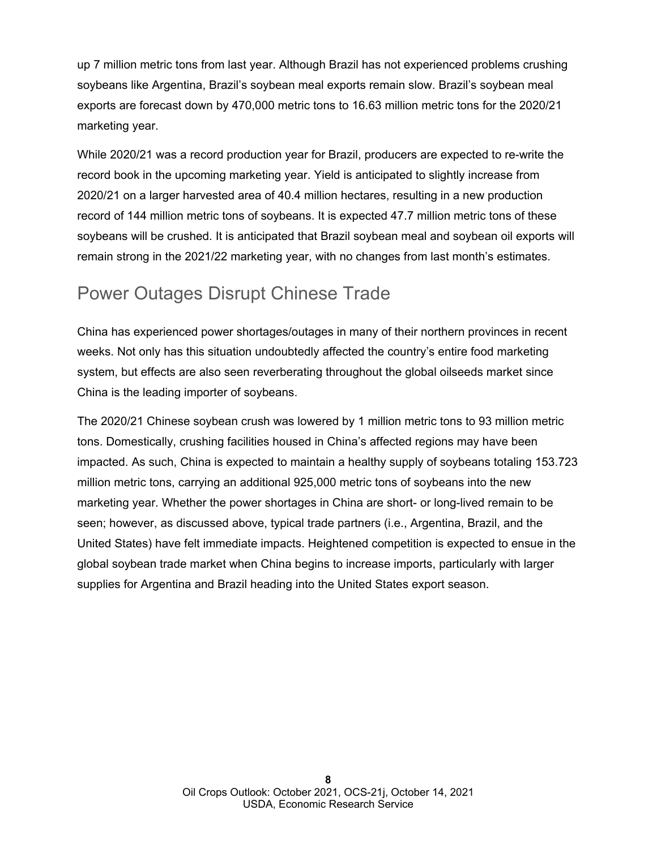up 7 million metric tons from last year. Although Brazil has not experienced problems crushing soybeans like Argentina, Brazil's soybean meal exports remain slow. Brazil's soybean meal exports are forecast down by 470,000 metric tons to 16.63 million metric tons for the 2020/21 marketing year.

While 2020/21 was a record production year for Brazil, producers are expected to re-write the record book in the upcoming marketing year. Yield is anticipated to slightly increase from 2020/21 on a larger harvested area of 40.4 million hectares, resulting in a new production record of 144 million metric tons of soybeans. It is expected 47.7 million metric tons of these soybeans will be crushed. It is anticipated that Brazil soybean meal and soybean oil exports will remain strong in the 2021/22 marketing year, with no changes from last month's estimates.

### Power Outages Disrupt Chinese Trade

China has experienced power shortages/outages in many of their northern provinces in recent weeks. Not only has this situation undoubtedly affected the country's entire food marketing system, but effects are also seen reverberating throughout the global oilseeds market since China is the leading importer of soybeans.

The 2020/21 Chinese soybean crush was lowered by 1 million metric tons to 93 million metric tons. Domestically, crushing facilities housed in China's affected regions may have been impacted. As such, China is expected to maintain a healthy supply of soybeans totaling 153.723 million metric tons, carrying an additional 925,000 metric tons of soybeans into the new marketing year. Whether the power shortages in China are short- or long-lived remain to be seen; however, as discussed above, typical trade partners (i.e., Argentina, Brazil, and the United States) have felt immediate impacts. Heightened competition is expected to ensue in the global soybean trade market when China begins to increase imports, particularly with larger supplies for Argentina and Brazil heading into the United States export season.